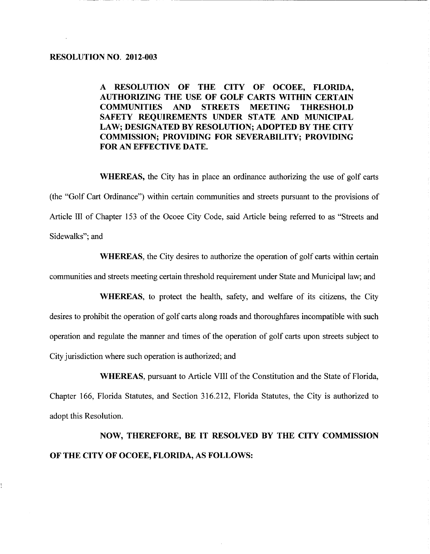A RESOLUTION OF THE CITY OF OCOEE FLORIDA AUTHORIZING THE USE OF GOLF CARTS WITHIN CERTAIN COMMUNITIES AND STREETS MEETING THRESHOLD SAFETY REQUIREMENTS UNDER STATE AND MUNICIPAL LAW; DESIGNATED BY RESOLUTION; ADOPTED BY THE CITY COMMISSION; PROVIDING FOR SEVERABILITY; PROVIDING FOR AN EFFECTIVE DATE.

WHEREAS, the City has in place an ordinance authorizing the use of golf carts (the "Golf Cart Ordinance") within certain communities and streets pursuant to the provisions of Article III of Chapter 153 of the Ocoee City Code, said Article being referred to as "Streets and Sidewalks"; and

WHEREAS, the City desires to authorize the operation of golf carts within certain communities and streets meeting certain threshold requirement under State and Municipal law; and

WHEREAS, to protect the health, safety, and welfare of its citizens, the City desires to prohibit the operation of golf carts along roads and thoroughfares incompatible with such operation and regulate the manner and times of the operation of golf carts upon streets subject to City jurisdiction where such operation is authorized; and

WHEREAS, pursuant to Article VIII of the Constitution and the State of Florida, Chapter 166, Florida Statutes, and Section 316.212, Florida Statutes, the City is authorized to adopt this Resolution

NOW, THEREFORE, BE IT RESOLVED BY THE CITY COMMISSION OF THE CITY OF OCOEE, FLORIDA, AS FOLLOWS: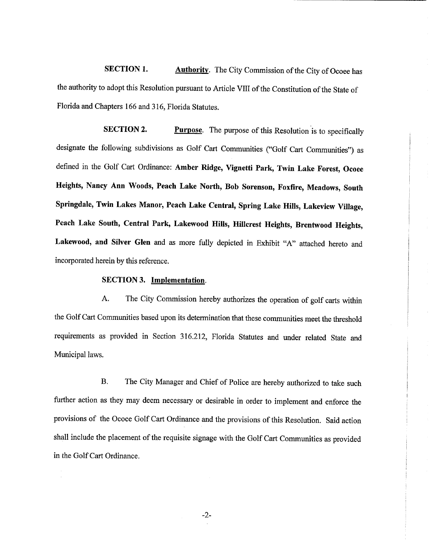SECTION 1. Authority. The City Commission of the City of Ocoee has the authority to adopt this Resolution pursuant to Article VIII of the Constitution of the State of Florida and Chapters 166 and 316, Florida Statutes.

SECTION 2 Purpose. The purpose of this Resolution is to specifically designate the following subdivisions as Golf Cart Communities ("Golf Cart Communities") as defined in the Golf Cart Ordinance: Amber Ridge, Vignetti Park, Twin Lake Forest, Ocoee Heights, Nancy Ann Woods, Peach Lake North, Bob Sorenson, Foxfire, Meadows, South Springdale, Twin Lakes Manor, Peach Lake Central, Spring Lake Hills, Lakeview Village, Peach Lake South, Central Park, Lakewood Hills, Hillcrest Heights, Brentwood Heights, Lakewood, and Silver Glen and as more fully depicted in Exhibit "A" attached hereto and incorporated herein by this reference

## SECTION 3. Implementation.

A The City Commission hereby authorizes the operation of golf carts within the Golf Cart Communities based upon its determination that these communities meet the threshold requirements as provided in Section 316.212, Florida Statutes and under related State and Municipal laws

B. The City Manager and Chief of Police are hereby authorized to take such further action as they may deem necessary or desirable in order to implement and enforce the provisions of the Ocoee Golf Cart Ordinance and the provisions of this Resolution. Said action shall include the placement of the requisite signage with the Golf Cart Communities as provided in the Golf Cart Ordinance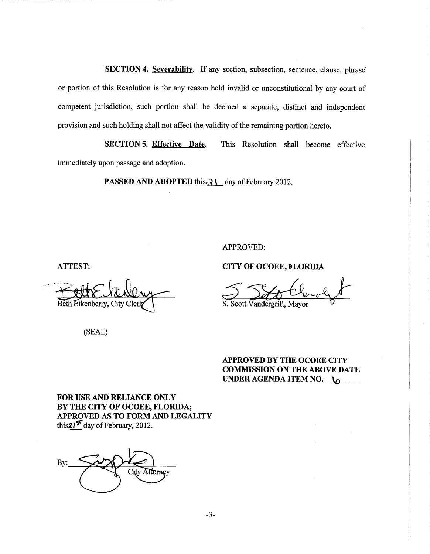SECTION 4. Severability. If any section, subsection, sentence, clause, phrase or portion of this Resolution is for any reason held invalid or unconstitutional by any court of competent jurisdiction, such portion shall be deemed a separate, distinct and independent provision and such holding shall not affect the validity of the remaining portion hereto

SECTION 5. Effective Date. This Resolution shall become effective immediately upon passage and adoption

**PASSED AND ADOPTED this**  $\partial \setminus \text{day of February 2012.}$ 

APPROVED

f Bein Eikenberry, City Clerk S. Scott Vandergrift, Mayor

(SEAL)

ATTEST: CITY OF OCOEE, FLORIDA

APPROVED BY THE OCOEE CITY COMMISSION ON THE ABOVE DATE UNDER AGENDA ITEM NO.  $\sim$ 

FOR USE AND RELIANCE ONLY BY THE CITY OF OCOEE, FLORIDA; APPROVED AS TO FORM AND LEGALITY this  $21<sup>5</sup>$  day of February, 2012.

BY THE CITY OF OCC<br>APPROVED AS TO FO<br>this 21<sup>5</sup> day of February, **R** City Attorney